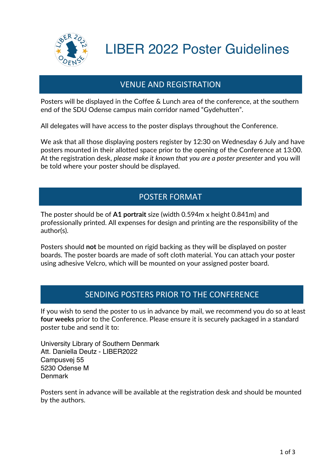

# LIBER 2022 Poster Guidelines

### VENUE AND REGISTRATION

Posters will be displayed in the Coffee & Lunch area of the conference, at the southern end of the SDU Odense campus main corridor named "Gydehutten".

All delegates will have access to the poster displays throughout the Conference.

We ask that all those displaying posters register by 12:30 on Wednesday 6 July and have posters mounted in their allotted space prior to the opening of the Conference at 13:00. At the registration desk, *please make it known that you are a poster presenter* and you will be told where your poster should be displayed.

### POSTER FORMAT

The poster should be of **A1 portrait** size (width 0.594m x height 0.841m) and professionally printed. All expenses for design and printing are the responsibility of the author(s).

Posters should **not** be mounted on rigid backing as they will be displayed on poster boards. The poster boards are made of soft cloth material. You can attach your poster using adhesive Velcro, which will be mounted on your assigned poster board.

#### SENDING POSTERS PRIOR TO THE CONFERENCE

If you wish to send the poster to us in advance by mail, we recommend you do so at least **four weeks** prior to the Conference. Please ensure it is securely packaged in a standard poster tube and send it to:

University Library of Southern Denmark Att. Daniella Deutz - LIBER2022 Campusvej 55 5230 Odense M **Denmark** 

Posters sent in advance will be available at the registration desk and should be mounted by the authors.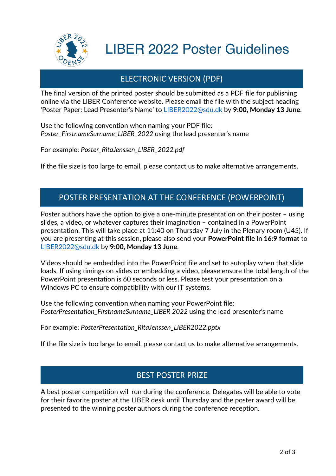

# LIBER 2022 Poster Guidelines

# ELECTRONIC VERSION (PDF)

The final version of the printed poster should be submitted as a PDF file for publishing online via the LIBER Conference website. Please email the file with the subject heading 'Poster Paper: Lead Presenter's Name' to LIBER2022@sdu.dk by **9:00, Monday 13 June**.

Use the following convention when naming your PDF file: *Poster\_FirstnameSurname\_LIBER\_2022* using the lead presenter's name

For example: *Poster\_RitaJenssen\_LIBER\_2022.pdf*

If the file size is too large to email, please contact us to make alternative arrangements.

### POSTER PRESENTATION AT THE CONFERENCE (POWERPOINT)

Poster authors have the option to give a one-minute presentation on their poster – using slides, a video, or whatever captures their imagination – contained in a PowerPoint presentation. This will take place at 11:40 on Thursday 7 July in the Plenary room (U45). If you are presenting at this session, please also send your **PowerPoint file in 16:9 format** to LIBER2022@sdu.dk by **9:00, Monday 13 June**.

Videos should be embedded into the PowerPoint file and set to autoplay when that slide loads. If using timings on slides or embedding a video, please ensure the total length of the PowerPoint presentation is 60 seconds or less. Please test your presentation on a Windows PC to ensure compatibility with our IT systems.

Use the following convention when naming your PowerPoint file: *PosterPresentation\_FirstnameSurname\_LIBER 2022* using the lead presenter's name

For example: *PosterPresentation\_RitaJenssen\_LIBER2022.pptx*

If the file size is too large to email, please contact us to make alternative arrangements.

## BEST POSTER PRIZE

A best poster competition will run during the conference. Delegates will be able to vote for their favorite poster at the LIBER desk until Thursday and the poster award will be presented to the winning poster authors during the conference reception.